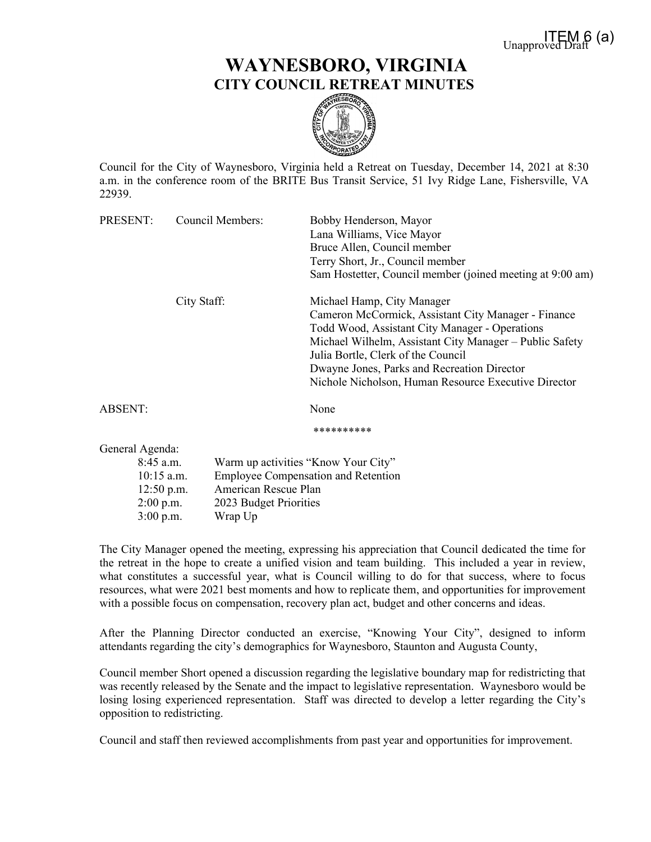## **WAYNESBORO, VIRGINIA CITY COUNCIL RETREAT MINUTES**



Council for the City of Waynesboro, Virginia held a Retreat on Tuesday, December 14, 2021 at 8:30 a.m. in the conference room of the BRITE Bus Transit Service, 51 Ivy Ridge Lane, Fishersville, VA 22939.

| PRESENT:                                    |             | <b>Council Members:</b>                                            | Bobby Henderson, Mayor                                    |                        |
|---------------------------------------------|-------------|--------------------------------------------------------------------|-----------------------------------------------------------|------------------------|
|                                             |             |                                                                    | Lana Williams, Vice Mayor                                 |                        |
|                                             |             |                                                                    | Bruce Allen, Council member                               |                        |
|                                             |             |                                                                    | Terry Short, Jr., Council member                          |                        |
|                                             |             |                                                                    | Sam Hostetter, Council member (joined meeting at 9:00 am) |                        |
|                                             | City Staff: |                                                                    | Michael Hamp, City Manager                                |                        |
|                                             |             |                                                                    | Cameron McCormick, Assistant City Manager - Finance       |                        |
|                                             |             |                                                                    | Todd Wood, Assistant City Manager - Operations            |                        |
|                                             |             |                                                                    | Michael Wilhelm, Assistant City Manager – Public Safety   |                        |
|                                             |             |                                                                    | Julia Bortle, Clerk of the Council                        |                        |
|                                             |             |                                                                    | Dwayne Jones, Parks and Recreation Director               |                        |
|                                             |             |                                                                    | Nichole Nicholson, Human Resource Executive Director      |                        |
| ABSENT:                                     |             |                                                                    | None                                                      |                        |
|                                             |             |                                                                    | **********                                                |                        |
| General Agenda:                             |             |                                                                    |                                                           |                        |
| $8:45$ a.m.                                 |             |                                                                    | Warm up activities "Know Your City"                       |                        |
| $10:15$ a.m.<br>$12:50$ p.m.<br>$2:00$ p.m. |             | <b>Employee Compensation and Retention</b><br>American Rescue Plan |                                                           |                        |
|                                             |             |                                                                    |                                                           | 2023 Budget Priorities |

3:00 p.m. Wrap Up

The City Manager opened the meeting, expressing his appreciation that Council dedicated the time for the retreat in the hope to create a unified vision and team building. This included a year in review, what constitutes a successful year, what is Council willing to do for that success, where to focus resources, what were 2021 best moments and how to replicate them, and opportunities for improvement with a possible focus on compensation, recovery plan act, budget and other concerns and ideas.

After the Planning Director conducted an exercise, "Knowing Your City", designed to inform attendants regarding the city's demographics for Waynesboro, Staunton and Augusta County,

Council member Short opened a discussion regarding the legislative boundary map for redistricting that was recently released by the Senate and the impact to legislative representation. Waynesboro would be losing losing experienced representation. Staff was directed to develop a letter regarding the City's opposition to redistricting.

Council and staff then reviewed accomplishments from past year and opportunities for improvement.